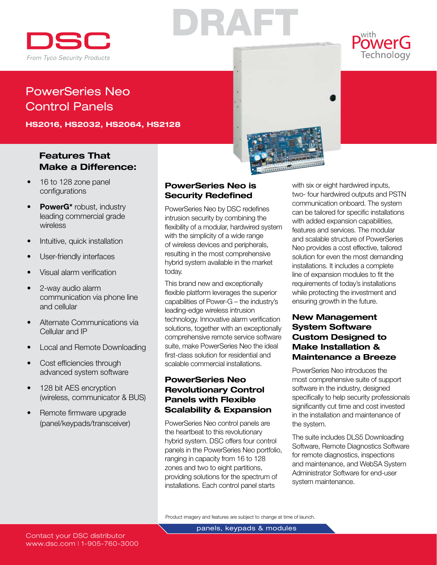

# DRAFT

Technology

# PowerSeries Neo Control Panels

HS2016, HS2032, HS2064, HS2128

## Features That Make a Difference:

- 16 to 128 zone panel configurations
- PowerG\* robust, industry leading commercial grade wireless
- Intuitive, quick installation
- User-friendly interfaces
- Visual alarm verification
- 2-way audio alarm communication via phone line and cellular
- Alternate Communications via Cellular and IP
- **Local and Remote Downloading**
- Cost efficiencies through advanced system software
- 128 bit AES encryption (wireless, communicator & BUS)
- Remote firmware upgrade (panel/keypads/transceiver)

## PowerSeries Neo is Security Redefined

PowerSeries Neo by DSC redefines intrusion security by combining the flexibility of a modular, hardwired system with the simplicity of a wide range of wireless devices and peripherals, resulting in the most comprehensive hybrid system available in the market today.

This brand new and exceptionally flexible platform leverages the superior capabilities of Power-G – the industry's leading-edge wireless intrusion technology. Innovative alarm verification solutions, together with an exceptionally comprehensive remote service software suite, make PowerSeries Neo the ideal first-class solution for residential and scalable commercial installations.

## PowerSeries Neo Revolutionary Control Panels with Flexible Scalability & Expansion

PowerSeries Neo control panels are the heartbeat to this revolutionary hybrid system. DSC offers four control panels in the PowerSeries Neo portfolio, ranging in capacity from 16 to 128 zones and two to eight partitions, providing solutions for the spectrum of installations. Each control panel starts

with six or eight hardwired inputs, two- four hardwired outputs and PSTN communication onboard. The system can be tailored for specific installations with added expansion capabilities, features and services. The modular and scalable structure of PowerSeries Neo provides a cost effective, tailored solution for even the most demanding installations. It includes a complete line of expansion modules to fit the requirements of today's installations while protecting the investment and ensuring growth in the future.

**Maria Alexandria** 

## New Management System Software Custom Designed to Make Installation & Maintenance a Breeze

PowerSeries Neo introduces the most comprehensive suite of support software in the industry, designed specifically to help security professionals significantly cut time and cost invested in the installation and maintenance of the system.

The suite includes DLS5 Downloading Software, Remote Diagnostics Software for remote diagnostics, inspections and maintenance, and WebSA System Administrator Software for end-user system maintenance.

Product imagery and features are subject to change at time of launch.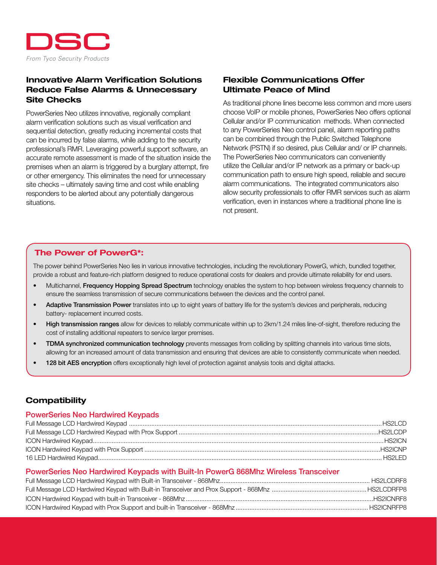

## Innovative Alarm Verification Solutions Reduce False Alarms & Unnecessary Site Checks

PowerSeries Neo utilizes innovative, regionally compliant alarm verification solutions such as visual verification and sequential detection, greatly reducing incremental costs that can be incurred by false alarms, while adding to the security professional's RMR. Leveraging powerful support software, an accurate remote assessment is made of the situation inside the premises when an alarm is triggered by a burglary attempt, fire or other emergency. This eliminates the need for unnecessary site checks – ultimately saving time and cost while enabling responders to be alerted about any potentially dangerous situations.

## Flexible Communications Offer Ultimate Peace of Mind

As traditional phone lines become less common and more users choose VoIP or mobile phones, PowerSeries Neo offers optional Cellular and/or IP communication methods. When connected to any PowerSeries Neo control panel, alarm reporting paths can be combined through the Public Switched Telephone Network (PSTN) if so desired, plus Cellular and/ or IP channels. The PowerSeries Neo communicators can conveniently utilize the Cellular and/or IP network as a primary or back-up communication path to ensure high speed, reliable and secure alarm communications. The integrated communicators also allow security professionals to offer RMR services such as alarm verification, even in instances where a traditional phone line is not present.

## The Power of PowerG\*:

The power behind PowerSeries Neo lies in various innovative technologies, including the revolutionary PowerG, which, bundled together, provide a robust and feature-rich platform designed to reduce operational costs for dealers and provide ultimate reliability for end users.

- Multichannel, Frequency Hopping Spread Spectrum technology enables the system to hop between wireless frequency channels to ensure the seamless transmission of secure communications between the devices and the control panel.
- Adaptive Transmission Power translates into up to eight years of battery life for the system's devices and peripherals, reducing battery- replacement incurred costs.
- High transmission ranges allow for devices to reliably communicate within up to 2km/1.24 miles line-of-sight, therefore reducing the cost of installing additional repeaters to service larger premises.
- TDMA synchronized communication technology prevents messages from colliding by splitting channels into various time slots, allowing for an increased amount of data transmission and ensuring that devices are able to consistently communicate when needed.
- 128 bit AES encryption offers exceptionally high level of protection against analysis tools and digital attacks.

## **Compatibility**

#### PowerSeries Neo Hardwired Keypads

#### PowerSeries Neo Hardwired Keypads with Built-In PowerG 868Mhz Wireless Transceiver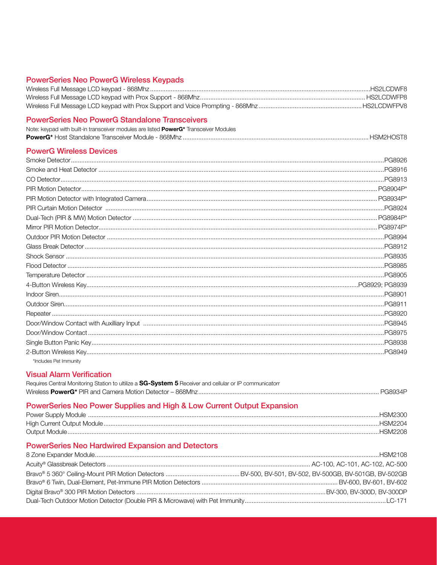#### **PowerSeries Neo PowerG Wireless Keypads**

| HS2LCDWFP8 |
|------------|
|            |

#### **PowerSeries Neo PowerG Standalone Transceivers** Note: keyned with built-in transceiver modules are listed **PowerC**\* Transceiver Modules

| TNOTE: KEYDAG WILLI DUIII-IIT LI'ALISCEIVEL ITIOQUIES ALE IISLEG <b>POWERG</b> TRAFISCEIVEL IVIOQUIES |  |
|-------------------------------------------------------------------------------------------------------|--|
|                                                                                                       |  |

#### **PowerG Wireless Devices**

|                        | PG8949 |
|------------------------|--------|
| *Includes Pet Immunity |        |

## **Visual Alarm Verification**

| Requires Central Monitoring Station to ultilize a SG-System 5 Receiver and cellular or IP communicatorr |  |
|---------------------------------------------------------------------------------------------------------|--|
|                                                                                                         |  |

## PowerSeries Neo Power Supplies and High & Low Current Output Expansion

| .HSM2300 |
|----------|
| .HSM2204 |
| .HSM2208 |

## **PowerSeries Neo Hardwired Expansion and Detectors**